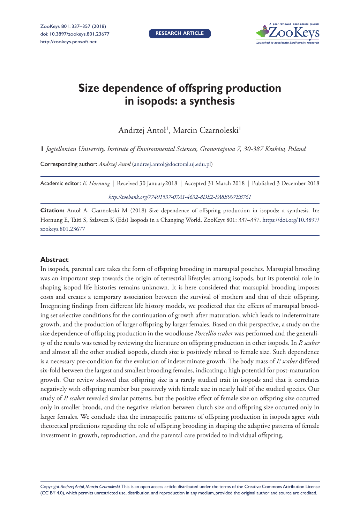

# **Size dependence of offspring production in isopods: a synthesis**

Andrzej Antoł', Marcin Czarnoleski'

**1** *Jagiellonian University, Institute of Environmental Sciences, Gronostajowa 7, 30-387 Kraków, Poland*

Corresponding author: *Andrzej Antoł* [\(andrzej.antol@doctoral.uj.edu.pl](mailto:andrzej.antol@doctoral.uj.edu.pl))

| Academic editor: E. Hornung   Received 30 January2018   Accepted 31 March 2018   Published 3 December 2018 |  |
|------------------------------------------------------------------------------------------------------------|--|
| http://zoobank.org/77491537-07A1-4632-8DE2-FA8B907EB761                                                    |  |

**Citation:** Antoł A, Czarnoleski M (2018) Size dependence of offspring production in isopods: a synthesis. In: Hornung E, Taiti S, Szlavecz K (Eds) Isopods in a Changing World. ZooKeys 801: 337–357. [https://doi.org/10.3897/](https://doi.org/10.3897/zookeys.801.23677) [zookeys.801.23677](https://doi.org/10.3897/zookeys.801.23677)

#### **Abstract**

In isopods, parental care takes the form of offspring brooding in marsupial pouches. Marsupial brooding was an important step towards the origin of terrestrial lifestyles among isopods, but its potential role in shaping isopod life histories remains unknown. It is here considered that marsupial brooding imposes costs and creates a temporary association between the survival of mothers and that of their offspring. Integrating findings from different life history models, we predicted that the effects of marsupial brooding set selective conditions for the continuation of growth after maturation, which leads to indeterminate growth, and the production of larger offspring by larger females. Based on this perspective, a study on the size dependence of offspring production in the woodlouse *Porcellio scaber* was performed and the generality of the results was tested by reviewing the literature on offspring production in other isopods. In *P. scaber* and almost all the other studied isopods, clutch size is positively related to female size. Such dependence is a necessary pre-condition for the evolution of indeterminate growth. The body mass of *P. scaber* differed six-fold between the largest and smallest brooding females, indicating a high potential for post-maturation growth. Our review showed that offspring size is a rarely studied trait in isopods and that it correlates negatively with offspring number but positively with female size in nearly half of the studied species. Our study of *P. scaber* revealed similar patterns, but the positive effect of female size on offspring size occurred only in smaller broods, and the negative relation between clutch size and offspring size occurred only in larger females. We conclude that the intraspecific patterns of offspring production in isopods agree with theoretical predictions regarding the role of offspring brooding in shaping the adaptive patterns of female investment in growth, reproduction, and the parental care provided to individual offspring.

Copyright *Andrzej Antoł, Marcin Czarnoleski.* This is an open access article distributed under the terms of the [Creative Commons Attribution License](http://creativecommons.org/licenses/by/4.0/)  [\(CC BY 4.0\)](http://creativecommons.org/licenses/by/4.0/), which permits unrestricted use, distribution, and reproduction in any medium, provided the original author and source are credited.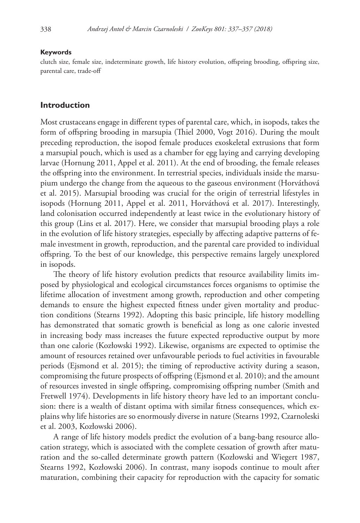#### **Keywords**

clutch size, female size, indeterminate growth, life history evolution, offspring brooding, offspring size, parental care, trade-off

#### **Introduction**

Most crustaceans engage in different types of parental care, which, in isopods, takes the form of offspring brooding in marsupia (Thiel 2000, Vogt 2016). During the moult preceding reproduction, the isopod female produces exoskeletal extrusions that form a marsupial pouch, which is used as a chamber for egg laying and carrying developing larvae (Hornung 2011, Appel et al. 2011). At the end of brooding, the female releases the offspring into the environment. In terrestrial species, individuals inside the marsupium undergo the change from the aqueous to the gaseous environment (Horváthová et al. 2015). Marsupial brooding was crucial for the origin of terrestrial lifestyles in isopods (Hornung 2011, Appel et al. 2011, Horváthová et al. 2017). Interestingly, land colonisation occurred independently at least twice in the evolutionary history of this group (Lins et al. 2017). Here, we consider that marsupial brooding plays a role in the evolution of life history strategies, especially by affecting adaptive patterns of female investment in growth, reproduction, and the parental care provided to individual offspring. To the best of our knowledge, this perspective remains largely unexplored in isopods.

The theory of life history evolution predicts that resource availability limits imposed by physiological and ecological circumstances forces organisms to optimise the lifetime allocation of investment among growth, reproduction and other competing demands to ensure the highest expected fitness under given mortality and production conditions (Stearns 1992). Adopting this basic principle, life history modelling has demonstrated that somatic growth is beneficial as long as one calorie invested in increasing body mass increases the future expected reproductive output by more than one calorie (Kozłowski 1992). Likewise, organisms are expected to optimise the amount of resources retained over unfavourable periods to fuel activities in favourable periods (Ejsmond et al. 2015); the timing of reproductive activity during a season, compromising the future prospects of offspring (Ejsmond et al. 2010); and the amount of resources invested in single offspring, compromising offspring number (Smith and Fretwell 1974). Developments in life history theory have led to an important conclusion: there is a wealth of distant optima with similar fitness consequences, which explains why life histories are so enormously diverse in nature (Stearns 1992, Czarnoleski et al. 2003, Kozłowski 2006).

A range of life history models predict the evolution of a bang-bang resource allocation strategy, which is associated with the complete cessation of growth after maturation and the so-called determinate growth pattern (Kozłowski and Wiegert 1987, Stearns 1992, Kozłowski 2006). In contrast, many isopods continue to moult after maturation, combining their capacity for reproduction with the capacity for somatic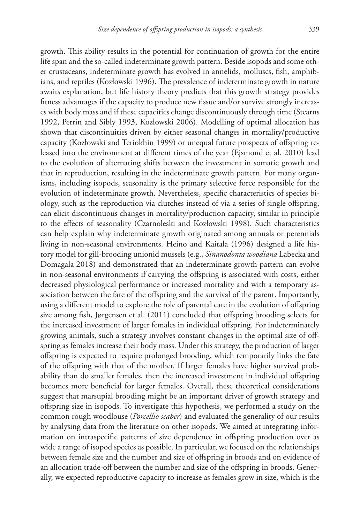growth. This ability results in the potential for continuation of growth for the entire life span and the so-called indeterminate growth pattern. Beside isopods and some other crustaceans, indeterminate growth has evolved in annelids, molluscs, fish, amphibians, and reptiles (Kozłowski 1996). The prevalence of indeterminate growth in nature awaits explanation, but life history theory predicts that this growth strategy provides fitness advantages if the capacity to produce new tissue and/or survive strongly increases with body mass and if these capacities change discontinuously through time (Stearns 1992, Perrin and Sibly 1993, Kozłowski 2006). Modelling of optimal allocation has shown that discontinuities driven by either seasonal changes in mortality/productive capacity (Kozłowski and Teriokhin 1999) or unequal future prospects of offspring released into the environment at different times of the year (Ejsmond et al. 2010) lead to the evolution of alternating shifts between the investment in somatic growth and that in reproduction, resulting in the indeterminate growth pattern. For many organisms, including isopods, seasonality is the primary selective force responsible for the evolution of indeterminate growth. Nevertheless, specific characteristics of species biology, such as the reproduction via clutches instead of via a series of single offspring, can elicit discontinuous changes in mortality/production capacity, similar in principle to the effects of seasonality (Czarnoleski and Kozłowski 1998). Such characteristics can help explain why indeterminate growth originated among annuals or perennials living in non-seasonal environments. Heino and Kaitala (1996) designed a life history model for gill-brooding unionid mussels (e.g., *Sinanodonta woodiana* Labecka and Domagala 2018) and demonstrated that an indeterminate growth pattern can evolve in non-seasonal environments if carrying the offspring is associated with costs, either decreased physiological performance or increased mortality and with a temporary association between the fate of the offspring and the survival of the parent. Importantly, using a different model to explore the role of parental care in the evolution of offspring size among fish, Jørgensen et al. (2011) concluded that offspring brooding selects for the increased investment of larger females in individual offspring. For indeterminately growing animals, such a strategy involves constant changes in the optimal size of offspring as females increase their body mass. Under this strategy, the production of larger offspring is expected to require prolonged brooding, which temporarily links the fate of the offspring with that of the mother. If larger females have higher survival probability than do smaller females, then the increased investment in individual offspring becomes more beneficial for larger females. Overall, these theoretical considerations suggest that marsupial brooding might be an important driver of growth strategy and offspring size in isopods. To investigate this hypothesis, we performed a study on the common rough woodlouse (*Porcellio scaber*) and evaluated the generality of our results by analysing data from the literature on other isopods. We aimed at integrating information on intraspecific patterns of size dependence in offspring production over as wide a range of isopod species as possible. In particular, we focused on the relationships between female size and the number and size of offspring in broods and on evidence of an allocation trade-off between the number and size of the offspring in broods. Generally, we expected reproductive capacity to increase as females grow in size, which is the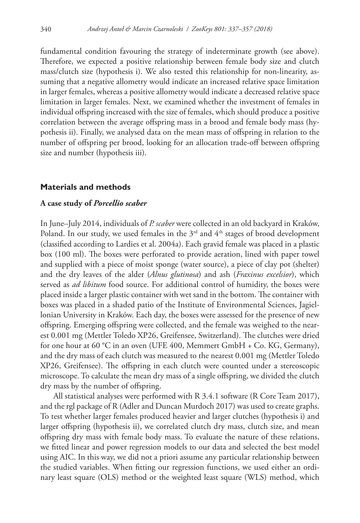fundamental condition favouring the strategy of indeterminate growth (see above). Therefore, we expected a positive relationship between female body size and clutch mass/clutch size (hypothesis i). We also tested this relationship for non-linearity, assuming that a negative allometry would indicate an increased relative space limitation in larger females, whereas a positive allometry would indicate a decreased relative space limitation in larger females. Next, we examined whether the investment of females in individual offspring increased with the size of females, which should produce a positive correlation between the average offspring mass in a brood and female body mass (hypothesis ii). Finally, we analysed data on the mean mass of offspring in relation to the number of offspring per brood, looking for an allocation trade-off between offspring size and number (hypothesis iii).

#### **Materials and methods**

#### **A case study of** *Porcellio scaber*

In June–July 2014, individuals of *P. scaber* were collected in an old backyard in Kraków, Poland. In our study, we used females in the  $3<sup>rd</sup>$  and  $4<sup>th</sup>$  stages of brood development (classified according to Lardies et al. 2004a). Each gravid female was placed in a plastic box (100 ml). The boxes were perforated to provide aeration, lined with paper towel and supplied with a piece of moist sponge (water source), a piece of clay pot (shelter) and the dry leaves of the alder (*Alnus glutinosa*) and ash (*Fraxinus excelsior*), which served as *ad libitum* food source. For additional control of humidity, the boxes were placed inside a larger plastic container with wet sand in the bottom. The container with boxes was placed in a shaded patio of the Institute of Environmental Sciences, Jagiellonian University in Kraków. Each day, the boxes were assessed for the presence of new offspring. Emerging offspring were collected, and the female was weighed to the nearest 0.001 mg (Mettler Toledo XP26, Greifensee, Switzerland). The clutches were dried for one hour at 60 °C in an oven (UFE 400, Memmert GmbH + Co. KG, Germany), and the dry mass of each clutch was measured to the nearest 0.001 mg (Mettler Toledo XP26, Greifensee). The offspring in each clutch were counted under a stereoscopic microscope. To calculate the mean dry mass of a single offspring, we divided the clutch dry mass by the number of offspring.

All statistical analyses were performed with R 3.4.1 software (R Core Team 2017), and the rgl package of R (Adler and Duncan Murdoch 2017) was used to create graphs. To test whether larger females produced heavier and larger clutches (hypothesis i) and larger offspring (hypothesis ii), we correlated clutch dry mass, clutch size, and mean offspring dry mass with female body mass. To evaluate the nature of these relations, we fitted linear and power regression models to our data and selected the best model using AIC. In this way, we did not a priori assume any particular relationship between the studied variables. When fitting our regression functions, we used either an ordinary least square (OLS) method or the weighted least square (WLS) method, which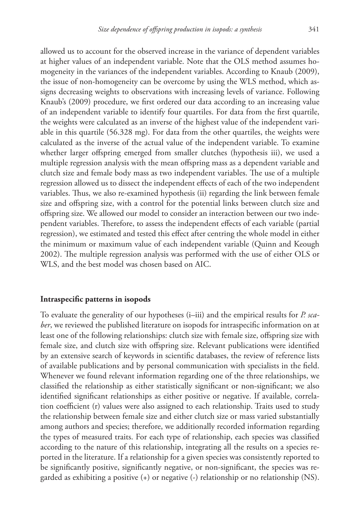allowed us to account for the observed increase in the variance of dependent variables at higher values of an independent variable. Note that the OLS method assumes homogeneity in the variances of the independent variables. According to Knaub (2009), the issue of non-homogeneity can be overcome by using the WLS method, which assigns decreasing weights to observations with increasing levels of variance. Following Knaub's (2009) procedure, we first ordered our data according to an increasing value of an independent variable to identify four quartiles. For data from the first quartile, the weights were calculated as an inverse of the highest value of the independent variable in this quartile (56.328 mg). For data from the other quartiles, the weights were calculated as the inverse of the actual value of the independent variable. To examine whether larger offspring emerged from smaller clutches (hypothesis iii), we used a multiple regression analysis with the mean offspring mass as a dependent variable and clutch size and female body mass as two independent variables. The use of a multiple regression allowed us to dissect the independent effects of each of the two independent variables. Thus, we also re-examined hypothesis (ii) regarding the link between female size and offspring size, with a control for the potential links between clutch size and offspring size. We allowed our model to consider an interaction between our two independent variables. Therefore, to assess the independent effects of each variable (partial regression), we estimated and tested this effect after centring the whole model in either the minimum or maximum value of each independent variable (Quinn and Keough 2002). The multiple regression analysis was performed with the use of either OLS or WLS, and the best model was chosen based on AIC.

#### **Intraspecific patterns in isopods**

To evaluate the generality of our hypotheses (i–iii) and the empirical results for *P. scaber*, we reviewed the published literature on isopods for intraspecific information on at least one of the following relationships: clutch size with female size, offspring size with female size, and clutch size with offspring size. Relevant publications were identified by an extensive search of keywords in scientific databases, the review of reference lists of available publications and by personal communication with specialists in the field. Whenever we found relevant information regarding one of the three relationships, we classified the relationship as either statistically significant or non-significant; we also identified significant relationships as either positive or negative. If available, correlation coefficient (r) values were also assigned to each relationship. Traits used to study the relationship between female size and either clutch size or mass varied substantially among authors and species; therefore, we additionally recorded information regarding the types of measured traits. For each type of relationship, each species was classified according to the nature of this relationship, integrating all the results on a species reported in the literature. If a relationship for a given species was consistently reported to be significantly positive, significantly negative, or non-significant, the species was regarded as exhibiting a positive (+) or negative (-) relationship or no relationship (NS).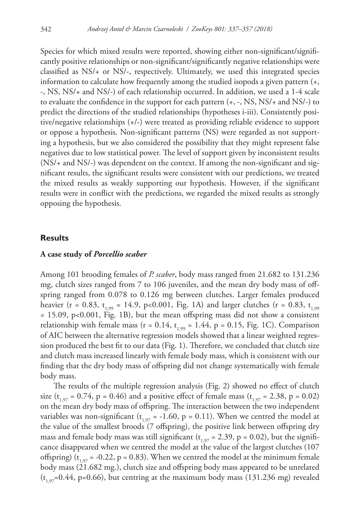Species for which mixed results were reported, showing either non-significant/significantly positive relationships or non-significant/significantly negative relationships were classified as NS/+ or NS/-, respectively. Ultimately, we used this integrated species information to calculate how frequently among the studied isopods a given pattern (+, -, NS, NS/+ and NS/-) of each relationship occurred. In addition, we used a 1-4 scale to evaluate the confidence in the support for each pattern  $(+, -$ , NS, NS/ $+$  and NS/ $-$ ) to predict the directions of the studied relationships (hypotheses i-iii). Consistently positive/negative relationships (+/-) were treated as providing reliable evidence to support or oppose a hypothesis. Non-significant patterns (NS) were regarded as not supporting a hypothesis, but we also considered the possibility that they might represent false negatives due to low statistical power. The level of support given by inconsistent results (NS/+ and NS/-) was dependent on the context. If among the non-significant and significant results, the significant results were consistent with our predictions, we treated the mixed results as weakly supporting our hypothesis. However, if the significant results were in conflict with the predictions, we regarded the mixed results as strongly opposing the hypothesis.

#### **Results**

#### **A case study of** *Porcellio scaber*

Among 101 brooding females of *P. scaber*, body mass ranged from 21.682 to 131.236 mg, clutch sizes ranged from 7 to 106 juveniles, and the mean dry body mass of offspring ranged from 0.078 to 0.126 mg between clutches. Larger females produced heavier (r = 0.83, t<sub>1,99</sub> = 14.9, p<0.001, Fig. 1A) and larger clutches (r = 0.83, t<sub>1,99</sub>) = 15.09, p<0.001, Fig. 1B), but the mean offspring mass did not show a consistent relationship with female mass (r = 0.14,  $t_{1.99}$  = 1.44, p = 0.15, Fig. 1C). Comparison of AIC between the alternative regression models showed that a linear weighted regression produced the best fit to our data (Fig. 1). Therefore, we concluded that clutch size and clutch mass increased linearly with female body mass, which is consistent with our finding that the dry body mass of offspring did not change systematically with female body mass.

The results of the multiple regression analysis (Fig. 2) showed no effect of clutch size (t<sub>1,97</sub> = 0.74, p = 0.46) and a positive effect of female mass (t<sub>1,97</sub> = 2.38, p = 0.02) on the mean dry body mass of offspring. The interaction between the two independent variables was non-significant ( $t_{1,97}$  = -1.60, p = 0.11). When we centred the model at the value of the smallest broods (7 offspring), the positive link between offspring dry mass and female body mass was still significant ( $t_{1,97}$  = 2.39, p = 0.02), but the significance disappeared when we centred the model at the value of the largest clutches (107 offspring) ( $t_{1,97}$  = -0.22, p = 0.83). When we centred the model at the minimum female body mass (21.682 mg.), clutch size and offspring body mass appeared to be unrelated  $(t_{1,97}=0.44, p=0.66)$ , but centring at the maximum body mass (131.236 mg) revealed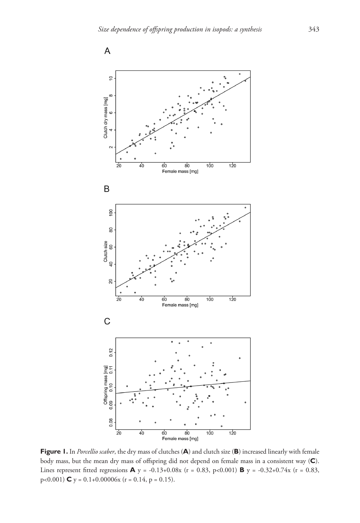

**Figure 1.** In *Porcellio scaber*, the dry mass of clutches (**A**) and clutch size (**B**) increased linearly with female body mass, but the mean dry mass of offspring did not depend on female mass in a consistent way (**C**). Lines represent fitted regressions **A** y = -0.13+0.08x (r = 0.83, p<0.001) **B** y = -0.32+0.74x (r = 0.83,  $p<0.001$ ) **C**  $y = 0.1+0.00006x$  ( $r = 0.14$ ,  $p = 0.15$ ).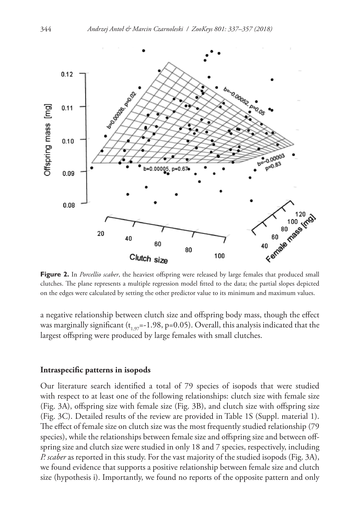

**Figure 2.** In *Porcellio scaber*, the heaviest offspring were released by large females that produced small clutches. The plane represents a multiple regression model fitted to the data; the partial slopes depicted on the edges were calculated by setting the other predictor value to its minimum and maximum values.

a negative relationship between clutch size and offspring body mass, though the effect was marginally significant ( $t_{197}$ =-1.98, p=0.05). Overall, this analysis indicated that the largest offspring were produced by large females with small clutches.

#### **Intraspecific patterns in isopods**

Our literature search identified a total of 79 species of isopods that were studied with respect to at least one of the following relationships: clutch size with female size (Fig. 3A), offspring size with female size (Fig. 3B), and clutch size with offspring size (Fig. 3C). Detailed results of the review are provided in Table 1S (Suppl. material 1). The effect of female size on clutch size was the most frequently studied relationship (79 species), while the relationships between female size and offspring size and between offspring size and clutch size were studied in only 18 and 7 species, respectively, including *P. scaber* as reported in this study. For the vast majority of the studied isopods (Fig. 3A), we found evidence that supports a positive relationship between female size and clutch size (hypothesis i). Importantly, we found no reports of the opposite pattern and only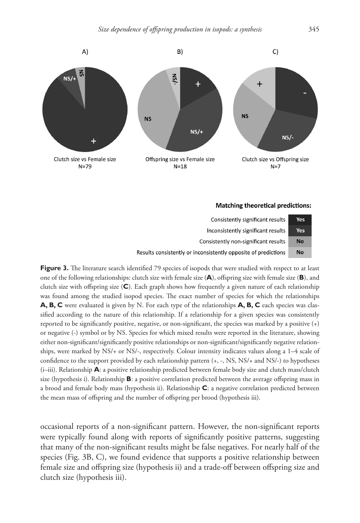

#### **Matching theoretical predictions:**



Figure 3. The literature search identified 79 species of isopods that were studied with respect to at least one of the following relationships: clutch size with female size (**A**), offspring size with female size (**B**), and clutch size with offspring size (**C**). Each graph shows how frequently a given nature of each relationship was found among the studied isopod species. The exact number of species for which the relationships **A, B, C** were evaluated is given by N. For each type of the relationships **A, B, C** each species was classified according to the nature of this relationship. If a relationship for a given species was consistently reported to be significantly positive, negative, or non-significant, the species was marked by a positive (+) or negative (-) symbol or by NS. Species for which mixed results were reported in the literature, showing either non-significant/significantly positive relationships or non-significant/significantly negative relationships, were marked by NS/+ or NS/-, respectively. Colour intensity indicates values along a 1–4 scale of confidence to the support provided by each relationship pattern (+, -, NS, NS/+ and NS/-) to hypotheses (i–iii). Relationship **A**: a positive relationship predicted between female body size and clutch mass/clutch size (hypothesis i). Relationship **B**: a positive correlation predicted between the average offspring mass in a brood and female body mass (hypothesis ii). Relationship **C**: a negative correlation predicted between the mean mass of offspring and the number of offspring per brood (hypothesis iii).

occasional reports of a non-significant pattern. However, the non-significant reports were typically found along with reports of significantly positive patterns, suggesting that many of the non-significant results might be false negatives. For nearly half of the species (Fig. 3B, C), we found evidence that supports a positive relationship between female size and offspring size (hypothesis ii) and a trade-off between offspring size and clutch size (hypothesis iii).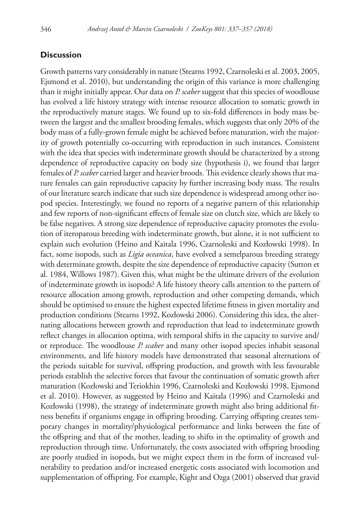### **Discussion**

Growth patterns vary considerably in nature (Stearns 1992, Czarnoleski et al. 2003, 2005, Ejsmond et al. 2010), but understanding the origin of this variance is more challenging than it might initially appear. Our data on *P. scaber* suggest that this species of woodlouse has evolved a life history strategy with intense resource allocation to somatic growth in the reproductively mature stages. We found up to six-fold differences in body mass between the largest and the smallest brooding females, which suggests that only 20% of the body mass of a fully-grown female might be achieved before maturation, with the majority of growth potentially co-occurring with reproduction in such instances. Consistent with the idea that species with indeterminate growth should be characterized by a strong dependence of reproductive capacity on body size (hypothesis i), we found that larger females of *P. scaber* carried larger and heavier broods. This evidence clearly shows that mature females can gain reproductive capacity by further increasing body mass. The results of our literature search indicate that such size dependence is widespread among other isopod species. Interestingly, we found no reports of a negative pattern of this relationship and few reports of non-significant effects of female size on clutch size, which are likely to be false negatives. A strong size dependence of reproductive capacity promotes the evolution of iteroparous breeding with indeterminate growth, but alone, it is not sufficient to explain such evolution (Heino and Kaitala 1996, Czarnoleski and Kozłowski 1998). In fact, some isopods, such as *Ligia oceanica*, have evolved a semelparous breeding strategy with determinate growth, despite the size dependence of reproductive capacity (Sutton et al. 1984, Willows 1987). Given this, what might be the ultimate drivers of the evolution of indeterminate growth in isopods? A life history theory calls attention to the pattern of resource allocation among growth, reproduction and other competing demands, which should be optimised to ensure the highest expected lifetime fitness in given mortality and production conditions (Stearns 1992, Kozłowski 2006). Considering this idea, the alternating allocations between growth and reproduction that lead to indeterminate growth reflect changes in allocation optima, with temporal shifts in the capacity to survive and/ or reproduce. The woodlouse *P. scaber* and many other isopod species inhabit seasonal environments, and life history models have demonstrated that seasonal alternations of the periods suitable for survival, offspring production, and growth with less favourable periods establish the selective forces that favour the continuation of somatic growth after maturation (Kozłowski and Teriokhin 1996, Czarnoleski and Kozłowski 1998, Ejsmond et al. 2010). However, as suggested by Heino and Kaitala (1996) and Czarnoleski and Kozłowski (1998), the strategy of indeterminate growth might also bring additional fitness benefits if organisms engage in offspring brooding. Carrying offspring creates temporary changes in mortality/physiological performance and links between the fate of the offspring and that of the mother, leading to shifts in the optimality of growth and reproduction through time. Unfortunately, the costs associated with offspring brooding are poorly studied in isopods, but we might expect them in the form of increased vulnerability to predation and/or increased energetic costs associated with locomotion and supplementation of offspring. For example, Kight and Ozga (2001) observed that gravid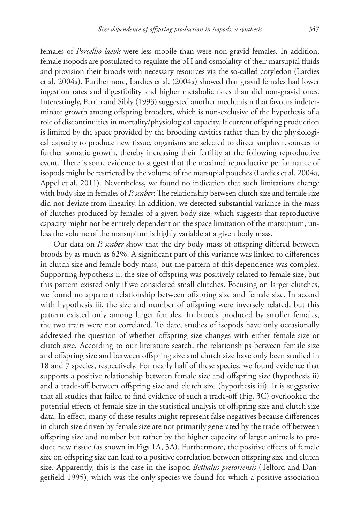females of *Porcellio laevis* were less mobile than were non-gravid females. In addition, female isopods are postulated to regulate the pH and osmolality of their marsupial fluids and provision their broods with necessary resources via the so-called cotyledon (Lardies et al. 2004a). Furthermore, Lardies et al. (2004a) showed that gravid females had lower ingestion rates and digestibility and higher metabolic rates than did non-gravid ones. Interestingly, Perrin and Sibly (1993) suggested another mechanism that favours indeterminate growth among offspring brooders, which is non-exclusive of the hypothesis of a role of discontinuities in mortality/physiological capacity. If current offspring production is limited by the space provided by the brooding cavities rather than by the physiological capacity to produce new tissue, organisms are selected to direct surplus resources to further somatic growth, thereby increasing their fertility at the following reproductive event. There is some evidence to suggest that the maximal reproductive performance of isopods might be restricted by the volume of the marsupial pouches (Lardies et al. 2004a, Appel et al. 2011). Nevertheless, we found no indication that such limitations change with body size in females of *P. scaber*: The relationship between clutch size and female size did not deviate from linearity. In addition, we detected substantial variance in the mass of clutches produced by females of a given body size, which suggests that reproductive capacity might not be entirely dependent on the space limitation of the marsupium, unless the volume of the marsupium is highly variable at a given body mass.

Our data on *P. scaber* show that the dry body mass of offspring differed between broods by as much as 62%. A significant part of this variance was linked to differences in clutch size and female body mass, but the pattern of this dependence was complex. Supporting hypothesis ii, the size of offspring was positively related to female size, but this pattern existed only if we considered small clutches. Focusing on larger clutches, we found no apparent relationship between offspring size and female size. In accord with hypothesis iii, the size and number of offspring were inversely related, but this pattern existed only among larger females. In broods produced by smaller females, the two traits were not correlated. To date, studies of isopods have only occasionally addressed the question of whether offspring size changes with either female size or clutch size. According to our literature search, the relationships between female size and offspring size and between offspring size and clutch size have only been studied in 18 and 7 species, respectively. For nearly half of these species, we found evidence that supports a positive relationship between female size and offspring size (hypothesis ii) and a trade-off between offspring size and clutch size (hypothesis iii). It is suggestive that all studies that failed to find evidence of such a trade-off (Fig. 3C) overlooked the potential effects of female size in the statistical analysis of offspring size and clutch size data. In effect, many of these results might represent false negatives because differences in clutch size driven by female size are not primarily generated by the trade-off between offspring size and number but rather by the higher capacity of larger animals to produce new tissue (as shown in Figs 1A, 3A). Furthermore, the positive effects of female size on offspring size can lead to a positive correlation between offspring size and clutch size. Apparently, this is the case in the isopod *Bethalus pretoriensis* (Telford and Dangerfield 1995), which was the only species we found for which a positive association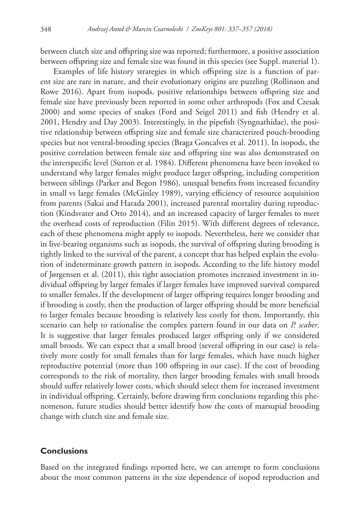between clutch size and offspring size was reported; furthermore, a positive association between offspring size and female size was found in this species (see Suppl. material 1).

Examples of life history strategies in which offspring size is a function of parent size are rare in nature, and their evolutionary origins are puzzling (Rollinson and Rowe 2016). Apart from isopods, positive relationships between offspring size and female size have previously been reported in some other arthropods (Fox and Czesak 2000) and some species of snakes (Ford and Seigel 2011) and fish (Hendry et al. 2001, Hendry and Day 2003). Interestingly, in the pipefish (Syngnathidae), the positive relationship between offspring size and female size characterized pouch-brooding species but not ventral-brooding species (Braga Goncalves et al. 2011). In isopods, the positive correlation between female size and offspring size was also demonstrated on the interspecific level (Sutton et al. 1984). Different phenomena have been invoked to understand why larger females might produce larger offspring, including competition between siblings (Parker and Begon 1986), unequal benefits from increased fecundity in small vs large females (McGinley 1989), varying efficiency of resource acquisition from parents (Sakai and Harada 2001), increased parental mortality during reproduction (Kindsvater and Otto 2014), and an increased capacity of larger females to meet the overhead costs of reproduction (Filin 2015). With different degrees of relevance, each of these phenomena might apply to isopods. Nevertheless, here we consider that in live-bearing organisms such as isopods, the survival of offspring during brooding is tightly linked to the survival of the parent, a concept that has helped explain the evolution of indeterminate growth pattern in isopods. According to the life history model of Jørgensen et al. (2011), this tight association promotes increased investment in individual offspring by larger females if larger females have improved survival compared to smaller females. If the development of larger offspring requires longer brooding and if brooding is costly, then the production of larger offspring should be more beneficial to larger females because brooding is relatively less costly for them. Importantly, this scenario can help to rationalise the complex pattern found in our data on *P. scaber*. It is suggestive that larger females produced larger offspring only if we considered small broods. We can expect that a small brood (several offspring in our case) is relatively more costly for small females than for large females, which have much higher reproductive potential (more than 100 offspring in our case). If the cost of brooding corresponds to the risk of mortality, then larger brooding females with small broods should suffer relatively lower costs, which should select them for increased investment in individual offspring. Certainly, before drawing firm conclusions regarding this phenomenon, future studies should better identify how the costs of marsupial brooding change with clutch size and female size.

## **Conclusions**

Based on the integrated findings reported here, we can attempt to form conclusions about the most common patterns in the size dependence of isopod reproduction and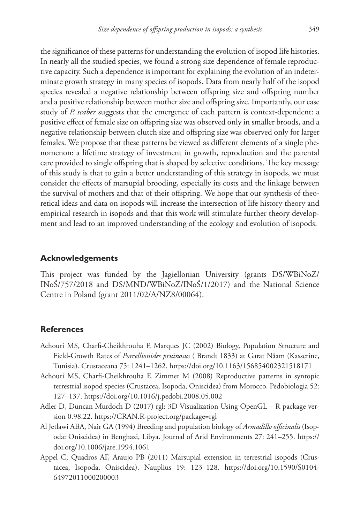the significance of these patterns for understanding the evolution of isopod life histories. In nearly all the studied species, we found a strong size dependence of female reproductive capacity. Such a dependence is important for explaining the evolution of an indeterminate growth strategy in many species of isopods. Data from nearly half of the isopod species revealed a negative relationship between offspring size and offspring number and a positive relationship between mother size and offspring size. Importantly, our case study of *P. scaber* suggests that the emergence of each pattern is context-dependent: a positive effect of female size on offspring size was observed only in smaller broods, and a negative relationship between clutch size and offspring size was observed only for larger females. We propose that these patterns be viewed as different elements of a single phenomenon: a lifetime strategy of investment in growth, reproduction and the parental care provided to single offspring that is shaped by selective conditions. The key message of this study is that to gain a better understanding of this strategy in isopods, we must consider the effects of marsupial brooding, especially its costs and the linkage between the survival of mothers and that of their offspring. We hope that our synthesis of theoretical ideas and data on isopods will increase the intersection of life history theory and empirical research in isopods and that this work will stimulate further theory development and lead to an improved understanding of the ecology and evolution of isopods.

#### **Acknowledgements**

This project was funded by the Jagiellonian University (grants DS/WBiNoZ/ INoŚ/757/2018 and DS/MND/WBiNoZ/INoŚ/1/2017) and the National Science Centre in Poland (grant 2011/02/A/NZ8/00064).

#### **References**

- Achouri MS, Charfi-Cheikhrouha F, Marques JC (2002) Biology, Population Structure and Field-Growth Rates of *Porcellionides pruinosus* ( Brandt 1833) at Garat Nâam (Kasserine, Tunisia). Crustaceana 75: 1241–1262.<https://doi.org/10.1163/156854002321518171>
- Achouri MS, Charfi-Cheikhrouha F, Zimmer M (2008) Reproductive patterns in syntopic terrestrial isopod species (Crustacea, Isopoda, Oniscidea) from Morocco. Pedobiologia 52: 127–137.<https://doi.org/10.1016/j.pedobi.2008.05.002>
- Adler D, Duncan Murdoch D (2017) rgl: 3D Visualization Using OpenGL R package version 0.98.22. <https://CRAN.R-project.org/package=rgl>
- Al Jetlawi ABA, Nair GA (1994) Breeding and population biology of *Armadillo officinalis* (Isopoda: Oniscidea) in Benghazi, Libya. Journal of Arid Environments 27: 241–255. [https://](https://doi.org/10.1006/jare.1994.1061) [doi.org/10.1006/jare.1994.1061](https://doi.org/10.1006/jare.1994.1061)
- Appel C, Quadros AF, Araujo PB (2011) Marsupial extension in terrestrial isopods (Crustacea, Isopoda, Oniscidea). Nauplius 19: 123–128. [https://doi.org/10.1590/S0104-](https://doi.org/10.1590/S0104-64972011000200003) [64972011000200003](https://doi.org/10.1590/S0104-64972011000200003)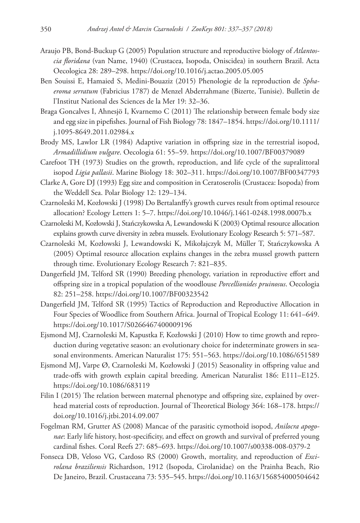- Araujo PB, Bond-Buckup G (2005) Population structure and reproductive biology of *Atlantoscia floridana* (van Name, 1940) (Crustacea, Isopoda, Oniscidea) in southern Brazil. Acta Oecologica 28: 289–298.<https://doi.org/10.1016/j.actao.2005.05.005>
- Ben Souissi E, Hamaied S, Medini-Bouaziz (2015) Phenologie de la reproduction de *Sphaeroma serratum* (Fabricius 1787) de Menzel Abderrahmane (Bizerte, Tunisie). Bulletin de l'Institut National des Sciences de la Mer 19: 32–36.
- Braga Goncalves I, Ahnesjö I, Kvarnemo C (2011) The relationship between female body size and egg size in pipefishes. Journal of Fish Biology 78: 1847–1854. [https://doi.org/10.1111/](https://doi.org/10.1111/j.1095-8649.2011.02984.x) [j.1095-8649.2011.02984.x](https://doi.org/10.1111/j.1095-8649.2011.02984.x)
- Brody MS, Lawlor LR (1984) Adaptive variation in offspring size in the terrestrial isopod, *Armadillidium vulgare*. Oecologia 61: 55–59. <https://doi.org/10.1007/BF00379089>
- Carefoot TH (1973) Studies on the growth, reproduction, and life cycle of the supralittoral isopod *Ligia pallasii*. Marine Biology 18: 302–311.<https://doi.org/10.1007/BF00347793>
- Clarke A, Gore DJ (1993) Egg size and composition in Ceratoserolis (Crustacea: Isopoda) from the Weddell Sea. Polar Biology 12: 129–134.
- Czarnoleski M, Kozłowski J (1998) Do Bertalanffy's growth curves result from optimal resource allocation? Ecology Letters 1: 5–7. <https://doi.org/10.1046/j.1461-0248.1998.0007b.x>
- Czarnoleski M, Kozłowski J, Stańczykowska A, Lewandowski K (2003) Optimal resource allocation explains growth curve diversity in zebra mussels. Evolutionary Ecology Research 5: 571–587.
- Czarnoleski M, Kozłowski J, Lewandowski K, Mikołajczyk M, Müller T, Stańczykowska A (2005) Optimal resource allocation explains changes in the zebra mussel growth pattern through time. Evolutionary Ecology Research 7: 821–835.
- Dangerfield JM, Telford SR (1990) Breeding phenology, variation in reproductive effort and offspring size in a tropical population of the woodlouse *Porcellionides pruinosus*. Oecologia 82: 251–258.<https://doi.org/10.1007/BF00323542>
- Dangerfield JM, Telford SR (1995) Tactics of Reproduction and Reproductive Allocation in Four Species of Woodlice from Southern Africa. Journal of Tropical Ecology 11: 641–649. <https://doi.org/10.1017/S0266467400009196>
- Ejsmond MJ, Czarnoleski M, Kapustka F, Kozłowski J (2010) How to time growth and reproduction during vegetative season: an evolutionary choice for indeterminate growers in seasonal environments. American Naturalist 175: 551–563. <https://doi.org/10.1086/651589>
- Ejsmond MJ, Varpe Ø, Czarnoleski M, Kozłowski J (2015) Seasonality in offspring value and trade-offs with growth explain capital breeding. American Naturalist 186: E111–E125. <https://doi.org/10.1086/683119>
- Filin I (2015) The relation between maternal phenotype and offspring size, explained by overhead material costs of reproduction. Journal of Theoretical Biology 364: 168–178. [https://](https://doi.org/10.1016/j.jtbi.2014.09.007) [doi.org/10.1016/j.jtbi.2014.09.007](https://doi.org/10.1016/j.jtbi.2014.09.007)
- Fogelman RM, Grutter AS (2008) Mancae of the parasitic cymothoid isopod, *Anilocra apogonae*: Early life history, host-specificity, and effect on growth and survival of preferred young cardinal fishes. Coral Reefs 27: 685–693.<https://doi.org/10.1007/s00338-008-0379-2>
- Fonseca DB, Veloso VG, Cardoso RS (2000) Growth, mortality, and reproduction of *Excirolana braziliensis* Richardson, 1912 (Isopoda, Cirolanidae) on the Prainha Beach, Rio De Janeiro, Brazil. Crustaceana 73: 535–545.<https://doi.org/10.1163/156854000504642>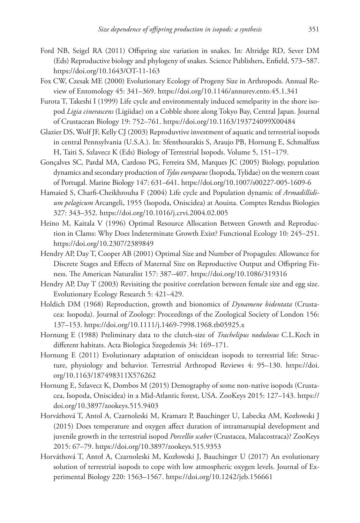- Ford NB, Seigel RA (2011) Offspring size variation in snakes. In: Altridge RD, Sever DM (Eds) Reproductive biology and phylogeny of snakes. Science Publishers, Enfield, 573–587. <https://doi.org/10.1643/OT-11-163>
- Fox CW, Czesak ME (2000) Evolutionary Ecology of Progeny Size in Arthropods. Annual Review of Entomology 45: 341–369.<https://doi.org/10.1146/annurev.ento.45.1.341>
- Furota T, Takeshi I (1999) Life cycle and environmentaly induced semelparity in the shore isopod *Ligia cinerascens* (Ligiidae) on a Cobble shore along Tokyo Bay, Central Japan. Journal of Crustacean Biology 19: 752–761.<https://doi.org/10.1163/193724099X00484>
- Glazier DS, Wolf JF, Kelly CJ (2003) Reproduvtive investment of aquatic and terrestrial isopods in central Pennsylvania (U.S.A.). In: Sfenthourakis S, Araujo PB, Hornung E, Schmalfuss H, Taiti S, Szlavecz K (Eds) Biology of Terrestrial Isopods. Volume 5, 151–179.
- Gonçalves SC, Pardal MA, Cardoso PG, Ferreira SM, Marques JC (2005) Biology, population dynamics and secondary production of *Tylos europaeus* (Isopoda, Tylidae) on the western coast of Portugal. Marine Biology 147: 631–641. <https://doi.org/10.1007/s00227-005-1609-6>
- Hamaied S, Charfi-Cheikhrouha F (2004) Life cycle and Population dynamic of *Armadillidium pelagicum* Arcangeli, 1955 (Isopoda, Oniscidea) at Aouina. Comptes Rendus Biologies 327: 343–352.<https://doi.org/10.1016/j.crvi.2004.02.005>
- Heino M, Kaitala V (1996) Optimal Resource Allocation Between Growth and Reproduction in Clams: Why Does Indeterminate Growth Exist? Functional Ecology 10: 245–251. <https://doi.org/10.2307/2389849>
- Hendry AP, Day T, Cooper AB (2001) Optimal Size and Number of Propagules: Allowance for Discrete Stages and Effects of Maternal Size on Reproductive Output and Offspring Fitness. The American Naturalist 157: 387–407. <https://doi.org/10.1086/319316>
- Hendry AP, Day T (2003) Revisiting the positive correlation between female size and egg size. Evolutionary Ecology Research 5: 421–429.
- Holdich DM (1968) Reproduction, growth and bionomics of *Dynamene bidentata* (Crustacea: Isopoda). Journal of Zoology: Proceedings of the Zoological Society of London 156: 137–153.<https://doi.org/10.1111/j.1469-7998.1968.tb05925.x>
- Hornung E (1988) Preliminary data to the clutch-size of *Trachelipus nodulosus* C.L.Koch in different habitats. Acta Biologica Szegedensis 34: 169–171.
- Hornung E (2011) Evolutionary adaptation of oniscidean isopods to terrestrial life: Structure, physiology and behavior. Terrestrial Arthropod Reviews 4: 95–130. [https://doi.](https://doi.org/10.1163/187498311X576262) [org/10.1163/187498311X576262](https://doi.org/10.1163/187498311X576262)
- Hornung E, Szlavecz K, Dombos M (2015) Demography of some non-native isopods (Crustacea, Isopoda, Oniscidea) in a Mid-Atlantic forest, USA. ZooKeys 2015: 127–143. [https://](https://doi.org/10.3897/zookeys.515.9403) [doi.org/10.3897/zookeys.515.9403](https://doi.org/10.3897/zookeys.515.9403)
- Horváthová T, Antol A, Czarnoleski M, Kramarz P, Bauchinger U, Labecka AM, Kozłowski J (2015) Does temperature and oxygen affect duration of intramarsupial development and juvenile growth in the terrestrial isopod *Porcellio scaber* (Crustacea, Malacostraca)? ZooKeys 2015: 67–79. <https://doi.org/10.3897/zookeys.515.9353>
- Horváthová T, Antoł A, Czarnoleski M, Kozłowski J, Bauchinger U (2017) An evolutionary solution of terrestrial isopods to cope with low atmospheric oxygen levels. Journal of Experimental Biology 220: 1563–1567. <https://doi.org/10.1242/jeb.156661>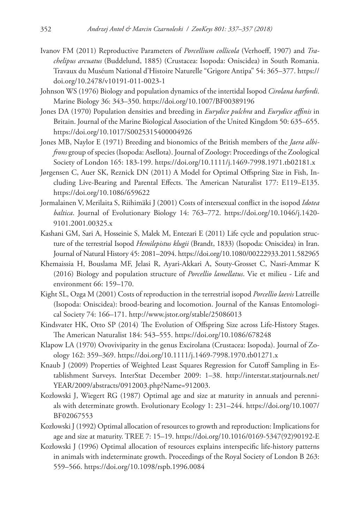- Ivanov FM (2011) Reproductive Parameters of *Porcellium collicola* (Verhoeff, 1907) and *Trachelipus arcuatus* (Buddelund, 1885) (Crustacea: Isopoda: Oniscidea) in South Romania. Travaux du Muséum National d'Histoire Naturelle "Grigore Antipa" 54: 365–377. [https://](https://doi.org/10.2478/v10191-011-0023-1) [doi.org/10.2478/v10191-011-0023-1](https://doi.org/10.2478/v10191-011-0023-1)
- Johnson WS (1976) Biology and population dynamics of the intertidal Isopod *Cirolana harfordi*. Marine Biology 36: 343–350. <https://doi.org/10.1007/BF00389196>
- Jones DA (1970) Population densities and breeding in *Eurydice pulchra* and *Eurydice affinis* in Britain. Journal of the Marine Biological Association of the United Kingdom 50: 635–655. <https://doi.org/10.1017/S0025315400004926>
- Jones MB, Naylor E (1971) Breeding and bionomics of the British members of the *Jaera albifrons* group of species (Isopoda: Asellota). Journal of Zoology: Proceedings of the Zoological Society of London 165: 183-199.<https://doi.org/10.1111/j.1469-7998.1971.tb02181.x>
- Jørgensen C, Auer SK, Reznick DN (2011) A Model for Optimal Offspring Size in Fish, Including Live-Bearing and Parental Effects. The American Naturalist 177: E119–E135. <https://doi.org/10.1086/659622>
- Jormalainen V, Merilaita S, Riihimäki J (2001) Costs of intersexual conflict in the isopod *Idotea baltica*. Journal of Evolutionary Biology 14: 763–772. [https://doi.org/10.1046/j.1420-](https://doi.org/10.1046/j.1420-9101.2001.00325.x) [9101.2001.00325.x](https://doi.org/10.1046/j.1420-9101.2001.00325.x)
- Kashani GM, Sari A, Hosseinie S, Malek M, Entezari E (2011) Life cycle and population structure of the terrestrial Isopod *Hemilepistus klugii* (Brandt, 1833) (Isopoda: Oniscidea) in Iran. Journal of Natural History 45: 2081–2094.<https://doi.org/10.1080/00222933.2011.582965>
- Khemaissia H, Bouslama MF, Jelasi R, Ayari-Akkari A, Souty-Grosset C, Nasri-Ammar K (2016) Biology and population structure of *Porcellio lamellatus*. Vie et milieu - Life and environment 66: 159–170.
- Kight SL, Ozga M (2001) Costs of reproduction in the terrestrial isopod *Porcellio laevis* Latreille (Isopoda: Oniscidea): brood-bearing and locomotion. Journal of the Kansas Entomological Society 74: 166–171. <http://www.jstor.org/stable/25086013>
- Kindsvater HK, Otto SP (2014) The Evolution of Offspring Size across Life-History Stages. The American Naturalist 184: 543–555.<https://doi.org/10.1086/678248>
- Klapow LA (1970) Ovoviviparity in the genus Excirolana (Crustacea: Isopoda). Journal of Zoology 162: 359–369. <https://doi.org/10.1111/j.1469-7998.1970.tb01271.x>
- Knaub J (2009) Properties of Weighted Least Squares Regression for Cutoff Sampling in Establishment Surveys. InterStat December 2009: 1–38. [http://interstat.statjournals.net/](http://interstat.statjournals.net/YEAR/2009/abstracts/0912003.php?Name=912003) [YEAR/2009/abstracts/0912003.php?Name=912003.](http://interstat.statjournals.net/YEAR/2009/abstracts/0912003.php?Name=912003)
- Kozłowski J, Wiegert RG (1987) Optimal age and size at maturity in annuals and perennials with determinate growth. Evolutionary Ecology 1: 231–244. [https://doi.org/10.1007/](https://doi.org/10.1007/BF02067553) [BF02067553](https://doi.org/10.1007/BF02067553)
- Kozłowski J (1992) Optimal allocation of resources to growth and reproduction: Implications for age and size at maturity. TREE 7: 15–19. [https://doi.org/10.1016/0169-5347\(92\)90192-E](https://doi.org/10.1016/0169-5347(92)90192-E)
- Kozłowski J (1996) Optimal allocation of resources explains interspecific life-history patterns in animals with indeterminate growth. Proceedings of the Royal Society of London B 263: 559–566.<https://doi.org/10.1098/rspb.1996.0084>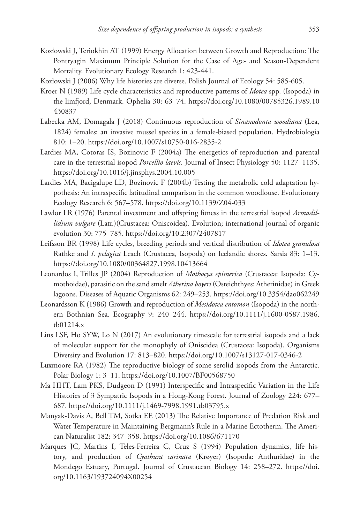- Kozłowski J, Teriokhin AT (1999) Energy Allocation between Growth and Reproduction: The Pontryagin Maximum Principle Solution for the Case of Age- and Season-Dependent Mortality. Evolutionary Ecology Research 1: 423-441.
- Kozłowski J (2006) Why life histories are diverse. Polish Journal of Ecology 54: 585-605.
- Kroer N (1989) Life cycle characteristics and reproductive patterns of *Idotea* spp. (Isopoda) in the limfjord, Denmark. Ophelia 30: 63–74. [https://doi.org/10.1080/00785326.1989.10](https://doi.org/10.1080/00785326.1989.10430837) [430837](https://doi.org/10.1080/00785326.1989.10430837)
- Labecka AM, Domagala J (2018) Continuous reproduction of *Sinanodonta woodiana* (Lea, 1824) females: an invasive mussel species in a female-biased population. Hydrobiologia 810: 1–20.<https://doi.org/10.1007/s10750-016-2835-2>
- Lardies MA, Cotoras IS, Bozinovic F (2004a) The energetics of reproduction and parental care in the terrestrial isopod *Porcellio laevis*. Journal of Insect Physiology 50: 1127–1135. <https://doi.org/10.1016/j.jinsphys.2004.10.005>
- Lardies MA, Bacigalupe LD, Bozinovic F (2004b) Testing the metabolic cold adaptation hypothesis: An intraspecific latitudinal comparison in the common woodlouse. Evolutionary Ecology Research 6: 567–578.<https://doi.org/10.1139/Z04-033>
- Lawlor LR (1976) Parental investment and offspring fitness in the terrestrial isopod *Armadillidium vulgare* (Latr.)(Crustacea: Oniscoidea). Evolution; international journal of organic evolution 30: 775–785.<https://doi.org/10.2307/2407817>
- Leifsson BR (1998) Life cycles, breeding periods and vertical distribution of *Idotea granulosa* Rathke and *I. pelagica* Leach (Crustacea, Isopoda) on Icelandic shores. Sarsia 83: 1–13. <https://doi.org/10.1080/00364827.1998.10413664>
- Leonardos I, Trilles JP (2004) Reproduction of *Mothocya epimerica* (Crustacea: Isopoda: Cymothoidae), parasitic on the sand smelt *Atherina boyeri* (Osteichthyes: Atherinidae) in Greek lagoons. Diseases of Aquatic Organisms 62: 249–253.<https://doi.org/10.3354/dao062249>
- Leonardsson K (1986) Growth and reproduction of *Mesidotea entomon* (Isopoda) in the northern Bothnian Sea. Ecography 9: 240–244. [https://doi.org/10.1111/j.1600-0587.1986.](https://doi.org/10.1111/j.1600-0587.1986.tb01214.x) [tb01214.x](https://doi.org/10.1111/j.1600-0587.1986.tb01214.x)
- Lins LSF, Ho SYW, Lo N (2017) An evolutionary timescale for terrestrial isopods and a lack of molecular support for the monophyly of Oniscidea (Crustacea: Isopoda). Organisms Diversity and Evolution 17: 813–820.<https://doi.org/10.1007/s13127-017-0346-2>
- Luxmoore RA (1982) The reproductive biology of some serolid isopods from the Antarctic. Polar Biology 1: 3–11. <https://doi.org/10.1007/BF00568750>
- Ma HHT, Lam PKS, Dudgeon D (1991) Interspecific and Intraspecific Variation in the Life Histories of 3 Sympatric Isopods in a Hong-Kong Forest. Journal of Zoology 224: 677– 687.<https://doi.org/10.1111/j.1469-7998.1991.tb03795.x>
- Manyak-Davis A, Bell TM, Sotka EE (2013) The Relative Importance of Predation Risk and Water Temperature in Maintaining Bergmann's Rule in a Marine Ectotherm. The American Naturalist 182: 347–358.<https://doi.org/10.1086/671170>
- Marques JC, Martins I, Teles-Ferreira C, Cruz S (1994) Population dynamics, life history, and production of *Cyathura carinata* (Krøyer) (Isopoda: Anthuridae) in the Mondego Estuary, Portugal. Journal of Crustacean Biology 14: 258–272. [https://doi.](https://doi.org/10.1163/193724094X00254) [org/10.1163/193724094X00254](https://doi.org/10.1163/193724094X00254)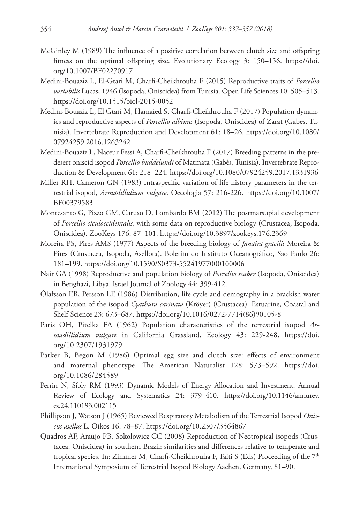- McGinley M (1989) The influence of a positive correlation between clutch size and offspring fitness on the optimal offspring size. Evolutionary Ecology 3: 150–156. [https://doi.](https://doi.org/10.1007/BF02270917) [org/10.1007/BF02270917](https://doi.org/10.1007/BF02270917)
- Medini-Bouaziz L, El-Gtari M, Charfi-Cheikhrouha F (2015) Reproductive traits of *Porcellio variabilis* Lucas, 1946 (Isopoda, Oniscidea) from Tunisia. Open Life Sciences 10: 505–513. <https://doi.org/10.1515/biol-2015-0052>
- Medini-Bouaziz L, El Gtari M, Hamaied S, Charfi-Cheikhrouha F (2017) Population dynamics and reproductive aspects of *Porcellio albinus* (Isopoda, Oniscidea) of Zarat (Gabes, Tunisia). Invertebrate Reproduction and Development 61: 18–26. [https://doi.org/10.1080/](https://doi.org/10.1080/07924259.2016.1263242) [07924259.2016.1263242](https://doi.org/10.1080/07924259.2016.1263242)
- Medini-Bouaziz L, Naceur Fessi A, Charfi-Cheikhrouha F (2017) Breeding patterns in the predesert oniscid isopod *Porcellio buddelundi* of Matmata (Gabès, Tunisia). Invertebrate Reproduction & Development 61: 218–224. <https://doi.org/10.1080/07924259.2017.1331936>
- Miller RH, Cameron GN (1983) Intraspecific variation of life history parameters in the terrestrial isopod, *Armadillidium vulgare*. Oecologia 57: 216-226. [https://doi.org/10.1007/](https://doi.org/10.1007/BF00379583) [BF00379583](https://doi.org/10.1007/BF00379583)
- Montesanto G, Pizzo GM, Caruso D, Lombardo BM (2012) The postmarsupial development of *Porcellio siculoccidentalis*, with some data on reproductive biology (Crustacea, Isopoda, Oniscidea). ZooKeys 176: 87–101.<https://doi.org/10.3897/zookeys.176.2369>
- Moreira PS, Pires AMS (1977) Aspects of the breeding biology of *Janaira gracilis* Moreira & Pires (Crustacea, Isopoda, Asellota). Boletim do Instituto Oceanográfico, Sao Paulo 26: 181–199.<https://doi.org/10.1590/S0373-55241977000100006>
- Nair GA (1998) Reproductive and population biology of *Porcellio scaber* (Isopoda, Oniscidea) in Benghazi, Libya. Israel Journal of Zoology 44: 399-412.
- Ólafsson EB, Persson LE (1986) Distribution, life cycle and demography in a brackish water population of the isopod *Cyathura carinata* (Kröyer) (Crustacea). Estuarine, Coastal and Shelf Science 23: 673–687. [https://doi.org/10.1016/0272-7714\(86\)90105-8](https://doi.org/10.1016/0272-7714(86)90105-8)
- Paris OH, Pitelka FA (1962) Population characteristics of the terrestrial isopod *Armadillidium vulgare* in California Grassland. Ecology 43: 229-248. [https://doi.](https://doi.org/10.2307/1931979) [org/10.2307/1931979](https://doi.org/10.2307/1931979)
- Parker B, Begon M (1986) Optimal egg size and clutch size: effects of environment and maternal phenotype. The American Naturalist 128: 573–592. [https://doi.](https://doi.org/10.1086/284589) [org/10.1086/284589](https://doi.org/10.1086/284589)
- Perrin N, Sibly RM (1993) Dynamic Models of Energy Allocation and Investment. Annual Review of Ecology and Systematics 24: 379–410. [https://doi.org/10.1146/annurev.](https://doi.org/10.1146/annurev.es.24.110193.002115) [es.24.110193.002115](https://doi.org/10.1146/annurev.es.24.110193.002115)
- Phillipson J, Watson J (1965) Reviewed Respiratory Metabolism of the Terrestrial Isopod *Oniscus asellus* L. Oikos 16: 78–87. <https://doi.org/10.2307/3564867>
- Quadros AF, Araujo PB, Sokolowicz CC (2008) Reproduction of Neotropical isopods (Crustacea: Oniscidea) in southern Brazil: similarities and differences relative to temperate and tropical species. In: Zimmer M, Charfi-Cheikhrouha F, Taiti S (Eds) Proceeding of the  $7<sup>th</sup>$ International Symposium of Terrestrial Isopod Biology Aachen, Germany, 81–90.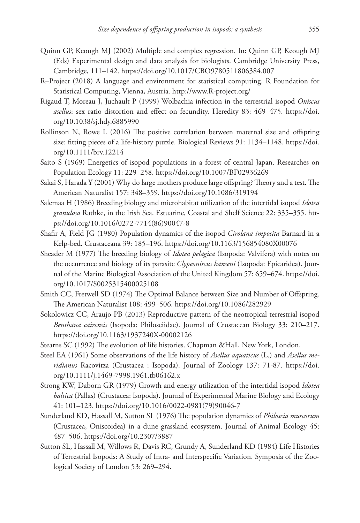- Quinn GP, Keough MJ (2002) Multiple and complex regression. In: Quinn GP, Keough MJ (Eds) Experimental design and data analysis for biologists. Cambridge University Press, Cambridge, 111–142. <https://doi.org/10.1017/CBO9780511806384.007>
- R–Project (2018) A language and environment for statistical computing. R Foundation for Statistical Computing, Vienna, Austria. <http://www.R-project.org/>
- Rigaud T, Moreau J, Juchault P (1999) Wolbachia infection in the terrestrial isopod *Oniscus asellus*: sex ratio distortion and effect on fecundity. Heredity 83: 469–475. [https://doi.](https://doi.org/10.1038/sj.hdy.6885990) [org/10.1038/sj.hdy.6885990](https://doi.org/10.1038/sj.hdy.6885990)
- Rollinson N, Rowe L (2016) The positive correlation between maternal size and offspring size: fitting pieces of a life-history puzzle. Biological Reviews 91: 1134–1148. [https://doi.](https://doi.org/10.1111/brv.12214) [org/10.1111/brv.12214](https://doi.org/10.1111/brv.12214)
- Saito S (1969) Energetics of isopod populations in a forest of central Japan. Researches on Population Ecology 11: 229–258. <https://doi.org/10.1007/BF02936269>
- Sakai S, Harada Y (2001) Why do large mothers produce large offspring? Theory and a test. The American Naturalist 157: 348–359.<https://doi.org/10.1086/319194>
- Salemaa H (1986) Breeding biology and microhabitat utilization of the intertidal isopod *Idotea granulosa* Rathke, in the Irish Sea. Estuarine, Coastal and Shelf Science 22: 335–355. [htt](https://doi.org/10.1016/0272-7714(86)90047-8)[ps://doi.org/10.1016/0272-7714\(86\)90047-8](https://doi.org/10.1016/0272-7714(86)90047-8)
- Shafir A, Field JG (1980) Population dynamics of the isopod *Cirolana imposita* Barnard in a Kelp-bed. Crustaceana 39: 185–196.<https://doi.org/10.1163/156854080X00076>
- Sheader M (1977) The breeding biology of *Idotea pelagica* (Isopoda: Valvifera) with notes on the occurrence and biology of its parasite *Clypeoniscus hanseni* (Isopoda: Epicaridea). Journal of the Marine Biological Association of the United Kingdom 57: 659–674. [https://doi.](https://doi.org/10.1017/S0025315400025108) [org/10.1017/S0025315400025108](https://doi.org/10.1017/S0025315400025108)
- Smith CC, Fretwell SD (1974) The Optimal Balance between Size and Number of Offspring. The American Naturalist 108: 499–506.<https://doi.org/10.1086/282929>
- Sokolowicz CC, Araujo PB (2013) Reproductive pattern of the neotropical terrestrial isopod *Benthana cairensis* (Isopoda: Philosciidae). Journal of Crustacean Biology 33: 210–217. <https://doi.org/10.1163/1937240X-00002126>
- Stearns SC (1992) The evolution of life histories. Chapman &Hall, New York, London.
- Steel EA (1961) Some observations of the life history of *Asellus aquaticus* (L.) and *Asellus meridianus* Racovitza (Crustacea : Isopoda). Journal of Zoology 137: 71-87. [https://doi.](https://doi.org/10.1111/j.1469-7998.1961.tb06162.x) [org/10.1111/j.1469-7998.1961.tb06162.x](https://doi.org/10.1111/j.1469-7998.1961.tb06162.x)
- Strong KW, Daborn GR (1979) Growth and energy utilization of the intertidal isopod *Idotea baltica* (Pallas) (Crustacea: Isopoda). Journal of Experimental Marine Biology and Ecology 41: 101–123. [https://doi.org/10.1016/0022-0981\(79\)90046-7](https://doi.org/10.1016/0022-0981(79)90046-7)
- Sunderland KD, Hassall M, Sutton SL (1976) The population dynamics of *Philoscia muscorum* (Crustacea, Oniscoidea) in a dune grassland ecosystem. Journal of Animal Ecology 45: 487–506.<https://doi.org/10.2307/3887>
- Sutton SL, Hassall M, Willows R, Davis RC, Grundy A, Sunderland KD (1984) Life Histories of Terrestrial Isopods: A Study of Intra- and Interspecific Variation. Symposia of the Zoological Society of London 53: 269–294.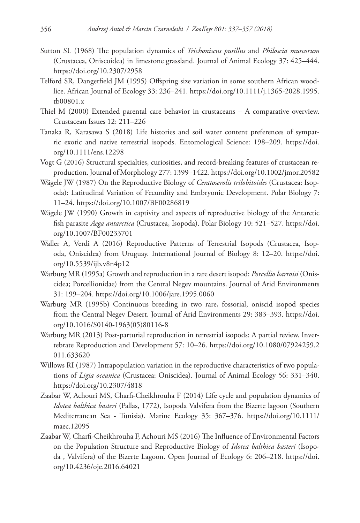- Sutton SL (1968) The population dynamics of *Trichoniscus pusillus* and *Philoscia muscorum* (Crustacea, Oniscoidea) in limestone grassland. Journal of Animal Ecology 37: 425–444. <https://doi.org/10.2307/2958>
- Telford SR, Dangerfield JM (1995) Offspring size variation in some southern African woodlice. African Journal of Ecology 33: 236–241. [https://doi.org/10.1111/j.1365-2028.1995.](https://doi.org/10.1111/j.1365-2028.1995.tb00801.x) [tb00801.x](https://doi.org/10.1111/j.1365-2028.1995.tb00801.x)
- Thiel M (2000) Extended parental care behavior in crustaceans A comparative overview. Crustacean Issues 12: 211–226
- Tanaka R, Karasawa S (2018) Life histories and soil water content preferences of sympatric exotic and native terrestrial isopods. Entomological Science: 198–209. [https://doi.](https://doi.org/10.1111/ens.12298) [org/10.1111/ens.12298](https://doi.org/10.1111/ens.12298)
- Vogt G (2016) Structural specialties, curiosities, and record-breaking features of crustacean reproduction. Journal of Morphology 277: 1399–1422.<https://doi.org/10.1002/jmor.20582>
- Wägele JW (1987) On the Reproductive Biology of *Ceratoserolis trilobitoides* (Crustacea: Isopoda): Latitudinal Variation of Fecundity and Embryonic Development. Polar Biology 7: 11–24.<https://doi.org/10.1007/BF00286819>
- Wägele JW (1990) Growth in captivity and aspects of reproductive biology of the Antarctic fish parasite *Aega antarctica* (Crustacea, Isopoda). Polar Biology 10: 521–527. [https://doi.](https://doi.org/10.1007/BF00233701) [org/10.1007/BF00233701](https://doi.org/10.1007/BF00233701)
- Waller A, Verdi A (2016) Reproductive Patterns of Terrestrial Isopods (Crustacea, Isopoda, Oniscidea) from Uruguay. International Journal of Biology 8: 12–20. [https://doi.](https://doi.org/10.5539/ijb.v8n4p12) [org/10.5539/ijb.v8n4p12](https://doi.org/10.5539/ijb.v8n4p12)
- Warburg MR (1995a) Growth and reproduction in a rare desert isopod: *Porcellio barroisi* (Oniscidea; Porcellionidae) from the Central Negev mountains. Journal of Arid Environments 31: 199–204.<https://doi.org/10.1006/jare.1995.0060>
- Warburg MR (1995b) Continuous breeding in two rare, fossorial, oniscid isopod species from the Central Negev Desert. Journal of Arid Environments 29: 383–393. [https://doi.](https://doi.org/10.1016/S0140-1963(05)80116-8) [org/10.1016/S0140-1963\(05\)80116-8](https://doi.org/10.1016/S0140-1963(05)80116-8)
- Warburg MR (2013) Post-parturial reproduction in terrestrial isopods: A partial review. Invertebrate Reproduction and Development 57: 10–26. [https://doi.org/10.1080/07924259.2](https://doi.org/10.1080/07924259.2011.633620) [011.633620](https://doi.org/10.1080/07924259.2011.633620)
- Willows RI (1987) Intrapopulation variation in the reproductive characteristics of two populations of *Ligia oceanica* (Crustacea: Oniscidea). Journal of Animal Ecology 56: 331–340. <https://doi.org/10.2307/4818>
- Zaabar W, Achouri MS, Charfi-Cheikhrouha F (2014) Life cycle and population dynamics of *Idotea balthica basteri* (Pallas, 1772), Isopoda Valvifera from the Bizerte lagoon (Southern Mediterranean Sea - Tunisia). Marine Ecology 35: 367–376. [https://doi.org/10.1111/](https://doi.org/10.1111/maec.12095) [maec.12095](https://doi.org/10.1111/maec.12095)
- Zaabar W, Charfi-Cheikhrouha F, Achouri MS (2016) The Influence of Environmental Factors on the Population Structure and Reproductive Biology of *Idotea balthica basteri* (Isopoda , Valvifera) of the Bizerte Lagoon. Open Journal of Ecology 6: 206–218. [https://doi.](https://doi.org/10.4236/oje.2016.64021) [org/10.4236/oje.2016.64021](https://doi.org/10.4236/oje.2016.64021)